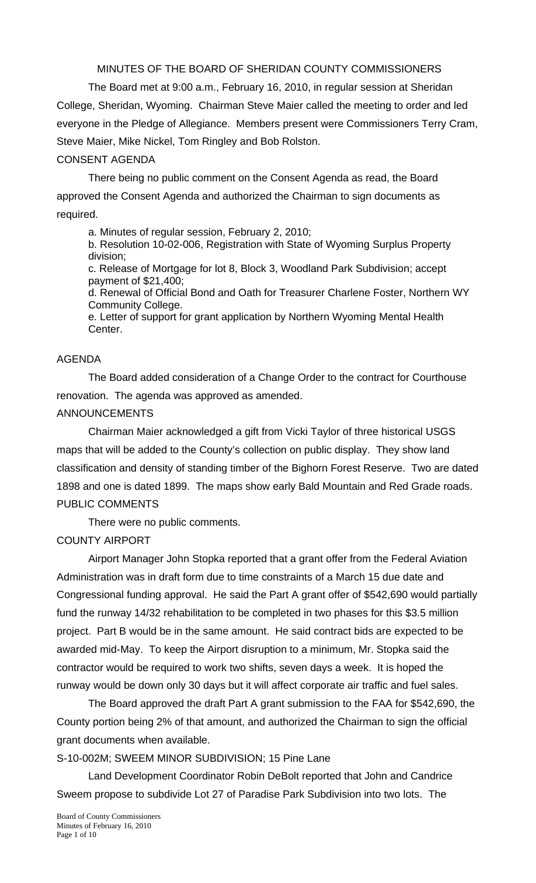MINUTES OF THE BOARD OF SHERIDAN COUNTY COMMISSIONERS

 The Board met at 9:00 a.m., February 16, 2010, in regular session at Sheridan College, Sheridan, Wyoming. Chairman Steve Maier called the meeting to order and led everyone in the Pledge of Allegiance. Members present were Commissioners Terry Cram, Steve Maier, Mike Nickel, Tom Ringley and Bob Rolston.

# CONSENT AGENDA

There being no public comment on the Consent Agenda as read, the Board approved the Consent Agenda and authorized the Chairman to sign documents as required.

a. Minutes of regular session, February 2, 2010;

b. Resolution 10-02-006, Registration with State of Wyoming Surplus Property division;

c. Release of Mortgage for lot 8, Block 3, Woodland Park Subdivision; accept payment of \$21,400;

d. Renewal of Official Bond and Oath for Treasurer Charlene Foster, Northern WY Community College.

e. Letter of support for grant application by Northern Wyoming Mental Health Center.

# AGENDA

 The Board added consideration of a Change Order to the contract for Courthouse renovation. The agenda was approved as amended.

# ANNOUNCEMENTS

 Chairman Maier acknowledged a gift from Vicki Taylor of three historical USGS maps that will be added to the County's collection on public display. They show land classification and density of standing timber of the Bighorn Forest Reserve. Two are dated 1898 and one is dated 1899. The maps show early Bald Mountain and Red Grade roads. PUBLIC COMMENTS

There were no public comments.

# COUNTY AIRPORT

 Airport Manager John Stopka reported that a grant offer from the Federal Aviation Administration was in draft form due to time constraints of a March 15 due date and Congressional funding approval. He said the Part A grant offer of \$542,690 would partially fund the runway 14/32 rehabilitation to be completed in two phases for this \$3.5 million project. Part B would be in the same amount. He said contract bids are expected to be awarded mid-May. To keep the Airport disruption to a minimum, Mr. Stopka said the contractor would be required to work two shifts, seven days a week. It is hoped the runway would be down only 30 days but it will affect corporate air traffic and fuel sales.

 The Board approved the draft Part A grant submission to the FAA for \$542,690, the County portion being 2% of that amount, and authorized the Chairman to sign the official grant documents when available.

S-10-002M; SWEEM MINOR SUBDIVISION; 15 Pine Lane

 Land Development Coordinator Robin DeBolt reported that John and Candrice Sweem propose to subdivide Lot 27 of Paradise Park Subdivision into two lots. The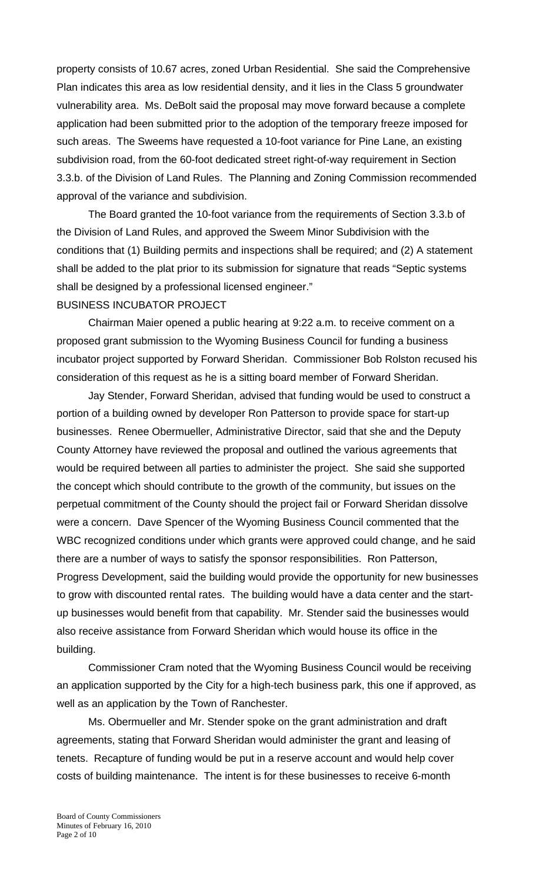property consists of 10.67 acres, zoned Urban Residential. She said the Comprehensive Plan indicates this area as low residential density, and it lies in the Class 5 groundwater vulnerability area. Ms. DeBolt said the proposal may move forward because a complete application had been submitted prior to the adoption of the temporary freeze imposed for such areas. The Sweems have requested a 10-foot variance for Pine Lane, an existing subdivision road, from the 60-foot dedicated street right-of-way requirement in Section 3.3.b. of the Division of Land Rules. The Planning and Zoning Commission recommended approval of the variance and subdivision.

 The Board granted the 10-foot variance from the requirements of Section 3.3.b of the Division of Land Rules, and approved the Sweem Minor Subdivision with the conditions that (1) Building permits and inspections shall be required; and (2) A statement shall be added to the plat prior to its submission for signature that reads "Septic systems shall be designed by a professional licensed engineer."

#### BUSINESS INCUBATOR PROJECT

 Chairman Maier opened a public hearing at 9:22 a.m. to receive comment on a proposed grant submission to the Wyoming Business Council for funding a business incubator project supported by Forward Sheridan. Commissioner Bob Rolston recused his consideration of this request as he is a sitting board member of Forward Sheridan.

Jay Stender, Forward Sheridan, advised that funding would be used to construct a portion of a building owned by developer Ron Patterson to provide space for start-up businesses. Renee Obermueller, Administrative Director, said that she and the Deputy County Attorney have reviewed the proposal and outlined the various agreements that would be required between all parties to administer the project. She said she supported the concept which should contribute to the growth of the community, but issues on the perpetual commitment of the County should the project fail or Forward Sheridan dissolve were a concern. Dave Spencer of the Wyoming Business Council commented that the WBC recognized conditions under which grants were approved could change, and he said there are a number of ways to satisfy the sponsor responsibilities. Ron Patterson, Progress Development, said the building would provide the opportunity for new businesses to grow with discounted rental rates. The building would have a data center and the startup businesses would benefit from that capability. Mr. Stender said the businesses would also receive assistance from Forward Sheridan which would house its office in the building.

 Commissioner Cram noted that the Wyoming Business Council would be receiving an application supported by the City for a high-tech business park, this one if approved, as well as an application by the Town of Ranchester.

 Ms. Obermueller and Mr. Stender spoke on the grant administration and draft agreements, stating that Forward Sheridan would administer the grant and leasing of tenets. Recapture of funding would be put in a reserve account and would help cover costs of building maintenance. The intent is for these businesses to receive 6-month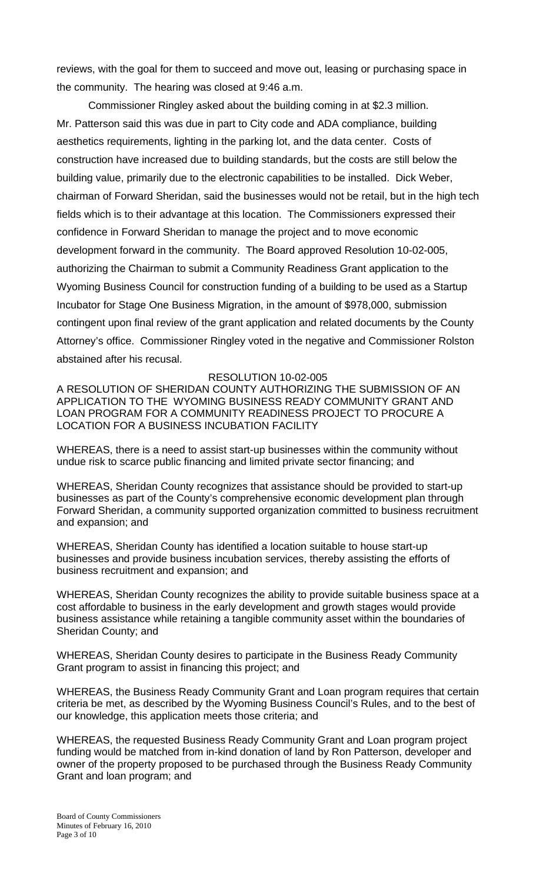reviews, with the goal for them to succeed and move out, leasing or purchasing space in the community. The hearing was closed at 9:46 a.m.

 Commissioner Ringley asked about the building coming in at \$2.3 million. Mr. Patterson said this was due in part to City code and ADA compliance, building aesthetics requirements, lighting in the parking lot, and the data center. Costs of construction have increased due to building standards, but the costs are still below the building value, primarily due to the electronic capabilities to be installed. Dick Weber, chairman of Forward Sheridan, said the businesses would not be retail, but in the high tech fields which is to their advantage at this location. The Commissioners expressed their confidence in Forward Sheridan to manage the project and to move economic development forward in the community. The Board approved Resolution 10-02-005, authorizing the Chairman to submit a Community Readiness Grant application to the Wyoming Business Council for construction funding of a building to be used as a Startup Incubator for Stage One Business Migration, in the amount of \$978,000, submission contingent upon final review of the grant application and related documents by the County Attorney's office. Commissioner Ringley voted in the negative and Commissioner Rolston abstained after his recusal.

#### RESOLUTION 10-02-005

A RESOLUTION OF SHERIDAN COUNTY AUTHORIZING THE SUBMISSION OF AN APPLICATION TO THE WYOMING BUSINESS READY COMMUNITY GRANT AND LOAN PROGRAM FOR A COMMUNITY READINESS PROJECT TO PROCURE A LOCATION FOR A BUSINESS INCUBATION FACILITY

WHEREAS, there is a need to assist start-up businesses within the community without undue risk to scarce public financing and limited private sector financing; and

WHEREAS, Sheridan County recognizes that assistance should be provided to start-up businesses as part of the County's comprehensive economic development plan through Forward Sheridan, a community supported organization committed to business recruitment and expansion; and

WHEREAS, Sheridan County has identified a location suitable to house start-up businesses and provide business incubation services, thereby assisting the efforts of business recruitment and expansion; and

WHEREAS, Sheridan County recognizes the ability to provide suitable business space at a cost affordable to business in the early development and growth stages would provide business assistance while retaining a tangible community asset within the boundaries of Sheridan County; and

WHEREAS, Sheridan County desires to participate in the Business Ready Community Grant program to assist in financing this project; and

WHEREAS, the Business Ready Community Grant and Loan program requires that certain criteria be met, as described by the Wyoming Business Council's Rules, and to the best of our knowledge, this application meets those criteria; and

WHEREAS, the requested Business Ready Community Grant and Loan program project funding would be matched from in-kind donation of land by Ron Patterson, developer and owner of the property proposed to be purchased through the Business Ready Community Grant and loan program; and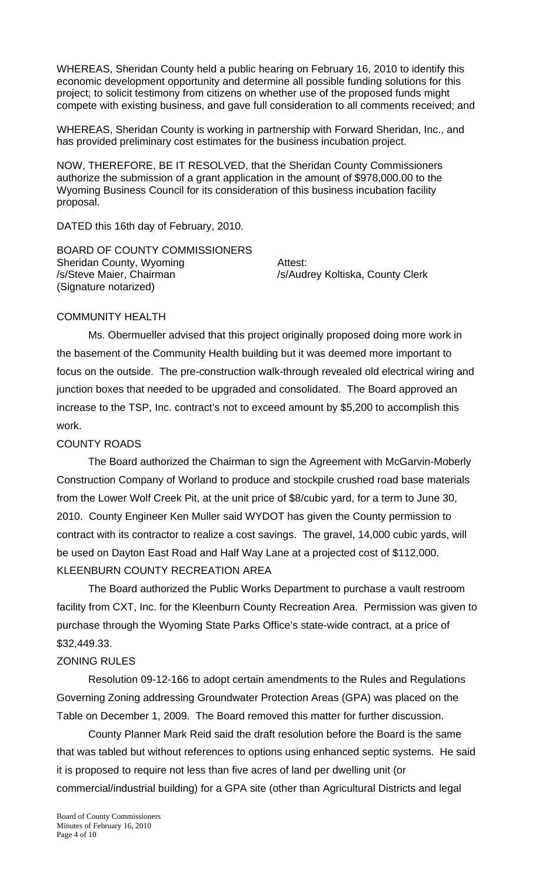WHEREAS, Sheridan County held a public hearing on February 16, 2010 to identify this economic development opportunity and determine all possible funding solutions for this project; to solicit testimony from citizens on whether use of the proposed funds might compete with existing business, and gave full consideration to all comments received; and

WHEREAS, Sheridan County is working in partnership with Forward Sheridan, Inc., and has provided preliminary cost estimates for the business incubation project.

NOW, THEREFORE, BE IT RESOLVED, that the Sheridan County Commissioners authorize the submission of a grant application in the amount of \$978,000.00 to the Wyoming Business Council for its consideration of this business incubation facility proposal.

DATED this 16th day of February, 2010.

BOARD OF COUNTY COMMISSIONERS Sheridan County, Wyoming **Attest:** /s/Steve Maier, Chairman /s/Audrey Koltiska, County Clerk (Signature notarized)

# COMMUNITY HEALTH

 Ms. Obermueller advised that this project originally proposed doing more work in the basement of the Community Health building but it was deemed more important to focus on the outside. The pre-construction walk-through revealed old electrical wiring and junction boxes that needed to be upgraded and consolidated. The Board approved an increase to the TSP, Inc. contract's not to exceed amount by \$5,200 to accomplish this work.

# COUNTY ROADS

 The Board authorized the Chairman to sign the Agreement with McGarvin-Moberly Construction Company of Worland to produce and stockpile crushed road base materials from the Lower Wolf Creek Pit, at the unit price of \$8/cubic yard, for a term to June 30, 2010. County Engineer Ken Muller said WYDOT has given the County permission to contract with its contractor to realize a cost savings. The gravel, 14,000 cubic yards, will be used on Dayton East Road and Half Way Lane at a projected cost of \$112,000. KLEENBURN COUNTY RECREATION AREA

 The Board authorized the Public Works Department to purchase a vault restroom facility from CXT, Inc. for the Kleenburn County Recreation Area. Permission was given to purchase through the Wyoming State Parks Office's state-wide contract, at a price of \$32,449.33.

# ZONING RULES

 Resolution 09-12-166 to adopt certain amendments to the Rules and Regulations Governing Zoning addressing Groundwater Protection Areas (GPA) was placed on the Table on December 1, 2009. The Board removed this matter for further discussion.

 County Planner Mark Reid said the draft resolution before the Board is the same that was tabled but without references to options using enhanced septic systems. He said it is proposed to require not less than five acres of land per dwelling unit (or commercial/industrial building) for a GPA site (other than Agricultural Districts and legal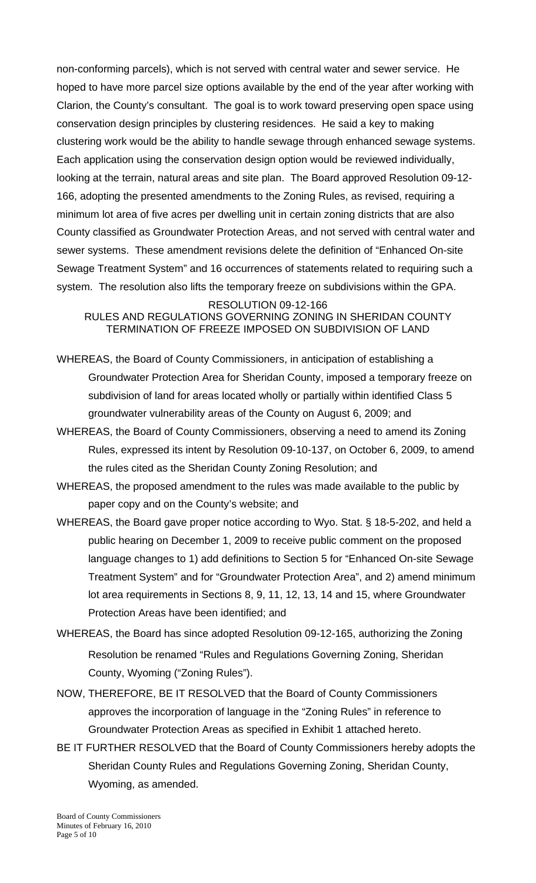non-conforming parcels), which is not served with central water and sewer service. He hoped to have more parcel size options available by the end of the year after working with Clarion, the County's consultant. The goal is to work toward preserving open space using conservation design principles by clustering residences. He said a key to making clustering work would be the ability to handle sewage through enhanced sewage systems. Each application using the conservation design option would be reviewed individually, looking at the terrain, natural areas and site plan. The Board approved Resolution 09-12- 166, adopting the presented amendments to the Zoning Rules, as revised, requiring a minimum lot area of five acres per dwelling unit in certain zoning districts that are also County classified as Groundwater Protection Areas, and not served with central water and sewer systems. These amendment revisions delete the definition of "Enhanced On-site Sewage Treatment System" and 16 occurrences of statements related to requiring such a system. The resolution also lifts the temporary freeze on subdivisions within the GPA.

RESOLUTION 09-12-166 RULES AND REGULATIONS GOVERNING ZONING IN SHERIDAN COUNTY TERMINATION OF FREEZE IMPOSED ON SUBDIVISION OF LAND

- WHEREAS, the Board of County Commissioners, in anticipation of establishing a Groundwater Protection Area for Sheridan County, imposed a temporary freeze on subdivision of land for areas located wholly or partially within identified Class 5 groundwater vulnerability areas of the County on August 6, 2009; and
- WHEREAS, the Board of County Commissioners, observing a need to amend its Zoning Rules, expressed its intent by Resolution 09-10-137, on October 6, 2009, to amend the rules cited as the Sheridan County Zoning Resolution; and
- WHEREAS, the proposed amendment to the rules was made available to the public by paper copy and on the County's website; and
- WHEREAS, the Board gave proper notice according to Wyo. Stat. § 18-5-202, and held a public hearing on December 1, 2009 to receive public comment on the proposed language changes to 1) add definitions to Section 5 for "Enhanced On-site Sewage Treatment System" and for "Groundwater Protection Area", and 2) amend minimum lot area requirements in Sections 8, 9, 11, 12, 13, 14 and 15, where Groundwater Protection Areas have been identified; and
- WHEREAS, the Board has since adopted Resolution 09-12-165, authorizing the Zoning Resolution be renamed "Rules and Regulations Governing Zoning, Sheridan County, Wyoming ("Zoning Rules").
- NOW, THEREFORE, BE IT RESOLVED that the Board of County Commissioners approves the incorporation of language in the "Zoning Rules" in reference to Groundwater Protection Areas as specified in Exhibit 1 attached hereto.
- BE IT FURTHER RESOLVED that the Board of County Commissioners hereby adopts the Sheridan County Rules and Regulations Governing Zoning, Sheridan County, Wyoming, as amended.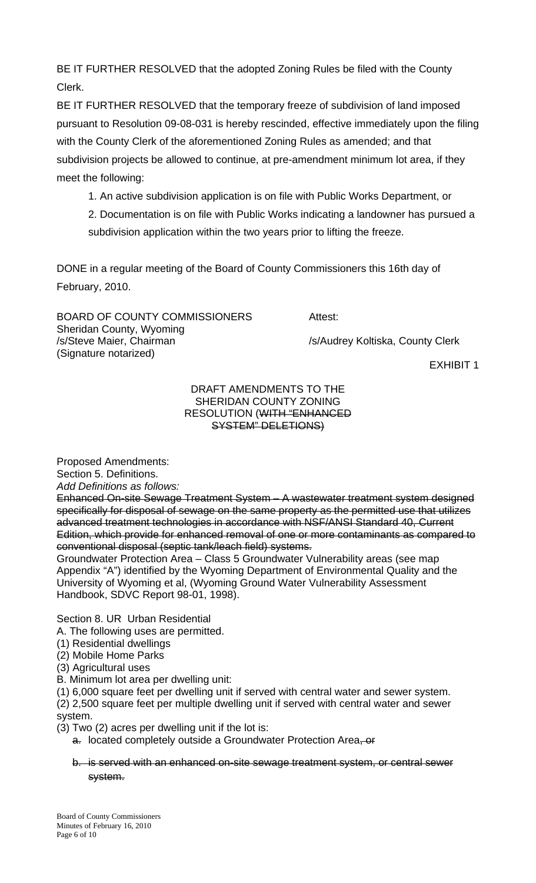BE IT FURTHER RESOLVED that the adopted Zoning Rules be filed with the County Clerk.

BE IT FURTHER RESOLVED that the temporary freeze of subdivision of land imposed pursuant to Resolution 09-08-031 is hereby rescinded, effective immediately upon the filing with the County Clerk of the aforementioned Zoning Rules as amended; and that subdivision projects be allowed to continue, at pre-amendment minimum lot area, if they meet the following:

1. An active subdivision application is on file with Public Works Department, or

 2. Documentation is on file with Public Works indicating a landowner has pursued a subdivision application within the two years prior to lifting the freeze.

DONE in a regular meeting of the Board of County Commissioners this 16th day of February, 2010.

BOARD OF COUNTY COMMISSIONERS Attest: Sheridan County, Wyoming /s/Steve Maier, Chairman /s/Audrey Koltiska, County Clerk (Signature notarized)

EXHIBIT 1

#### DRAFT AMENDMENTS TO THE SHERIDAN COUNTY ZONING RESOLUTION (WITH "ENHANCED SYSTEM" DELETIONS)

Proposed Amendments:

Section 5. Definitions.

*Add Definitions as follows:* 

Enhanced On-site Sewage Treatment System – A wastewater treatment system designed specifically for disposal of sewage on the same property as the permitted use that utilizes advanced treatment technologies in accordance with NSF/ANSI Standard 40, Current Edition, which provide for enhanced removal of one or more contaminants as compared to conventional disposal (septic tank/leach field) systems.

Groundwater Protection Area – Class 5 Groundwater Vulnerability areas (see map Appendix "A") identified by the Wyoming Department of Environmental Quality and the University of Wyoming et al, (Wyoming Ground Water Vulnerability Assessment Handbook, SDVC Report 98-01, 1998).

Section 8. UR Urban Residential

A. The following uses are permitted.

(1) Residential dwellings

(2) Mobile Home Parks

(3) Agricultural uses

B. Minimum lot area per dwelling unit:

(1) 6,000 square feet per dwelling unit if served with central water and sewer system.

(2) 2,500 square feet per multiple dwelling unit if served with central water and sewer system.

(3) Two (2) acres per dwelling unit if the lot is:

a. located completely outside a Groundwater Protection Area, or

# b. is served with an enhanced on-site sewage treatment system, or central sewer system.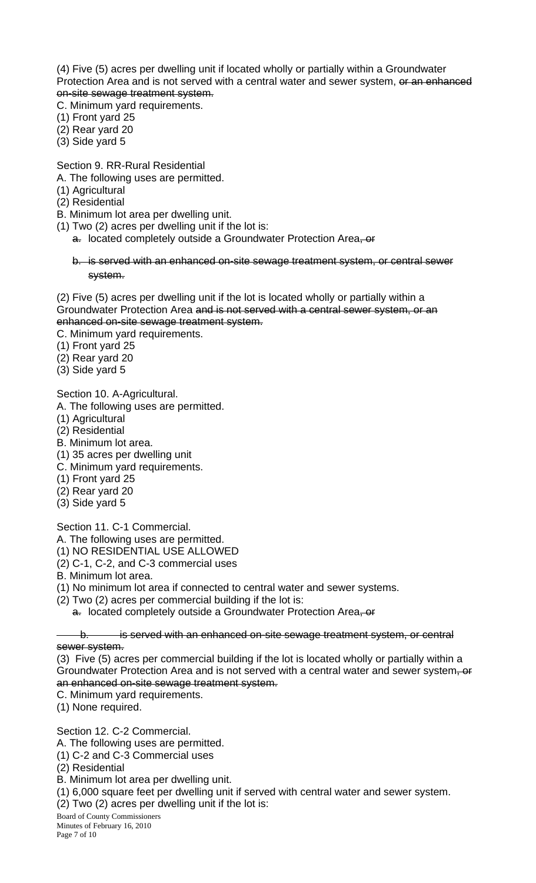(4) Five (5) acres per dwelling unit if located wholly or partially within a Groundwater Protection Area and is not served with a central water and sewer system, or an enhanced on-site sewage treatment system.

C. Minimum yard requirements.

- (1) Front yard 25
- (2) Rear yard 20
- (3) Side yard 5

Section 9. RR-Rural Residential

- A. The following uses are permitted.
- (1) Agricultural
- (2) Residential
- B. Minimum lot area per dwelling unit.
- (1) Two (2) acres per dwelling unit if the lot is:
	- a. located completely outside a Groundwater Protection Area, or

b. is served with an enhanced on-site sewage treatment system, or central sewer system.

(2) Five (5) acres per dwelling unit if the lot is located wholly or partially within a Groundwater Protection Area and is not served with a central sewer system, or an enhanced on-site sewage treatment system.

- C. Minimum yard requirements.
- (1) Front yard 25

(2) Rear yard 20

(3) Side yard 5

Section 10. A-Agricultural.

- A. The following uses are permitted.
- (1) Agricultural
- (2) Residential
- B. Minimum lot area.
- (1) 35 acres per dwelling unit
- C. Minimum yard requirements.
- (1) Front yard 25
- (2) Rear yard 20
- (3) Side yard 5

Section 11. C-1 Commercial.

A. The following uses are permitted.

- (1) NO RESIDENTIAL USE ALLOWED
- (2) C-1, C-2, and C-3 commercial uses
- B. Minimum lot area.
- (1) No minimum lot area if connected to central water and sewer systems.
- (2) Two (2) acres per commercial building if the lot is:

a. located completely outside a Groundwater Protection Area, or

b. is served with an enhanced on-site sewage treatment system, or central sewer system.

(3) Five (5) acres per commercial building if the lot is located wholly or partially within a Groundwater Protection Area and is not served with a central water and sewer system, or an enhanced on-site sewage treatment system.

C. Minimum yard requirements.

(1) None required.

Section 12. C-2 Commercial.

A. The following uses are permitted.

(1) C-2 and C-3 Commercial uses

(2) Residential

B. Minimum lot area per dwelling unit.

(1) 6,000 square feet per dwelling unit if served with central water and sewer system.

(2) Two (2) acres per dwelling unit if the lot is:

Board of County Commissioners Minutes of February 16, 2010

Page 7 of 10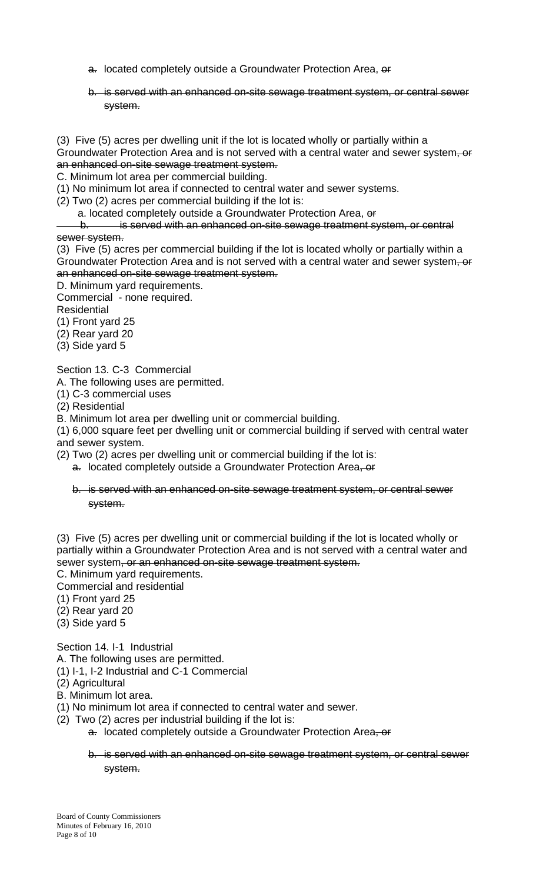- a. located completely outside a Groundwater Protection Area, or
- b. is served with an enhanced on-site sewage treatment system, or central sewer system.

(3) Five (5) acres per dwelling unit if the lot is located wholly or partially within a Groundwater Protection Area and is not served with a central water and sewer system<del>, or</del> an enhanced on-site sewage treatment system.

C. Minimum lot area per commercial building.

(1) No minimum lot area if connected to central water and sewer systems.

(2) Two (2) acres per commercial building if the lot is:

a. located completely outside a Groundwater Protection Area, or

b. is served with an enhanced on-site sewage treatment system, or central

sewer system.

(3) Five (5) acres per commercial building if the lot is located wholly or partially within a Groundwater Protection Area and is not served with a central water and sewer system, or an enhanced on-site sewage treatment system.

D. Minimum yard requirements.

Commercial - none required.

**Residential** 

(1) Front yard 25

(2) Rear yard 20

(3) Side yard 5

Section 13. C-3 Commercial

A. The following uses are permitted.

(1) C-3 commercial uses

(2) Residential

B. Minimum lot area per dwelling unit or commercial building.

(1) 6,000 square feet per dwelling unit or commercial building if served with central water and sewer system.

(2) Two (2) acres per dwelling unit or commercial building if the lot is:

a. located completely outside a Groundwater Protection Area, or

#### b. is served with an enhanced on-site sewage treatment system, or central sewer system.

(3) Five (5) acres per dwelling unit or commercial building if the lot is located wholly or partially within a Groundwater Protection Area and is not served with a central water and sewer system, or an enhanced on-site sewage treatment system.

C. Minimum yard requirements.

Commercial and residential

- (1) Front yard 25
- (2) Rear yard 20
- (3) Side yard 5

Section 14. I-1 Industrial

A. The following uses are permitted.

(1) I-1, I-2 Industrial and C-1 Commercial

(2) Agricultural

- B. Minimum lot area.
- (1) No minimum lot area if connected to central water and sewer.
- (2) Two (2) acres per industrial building if the lot is:
	- a. located completely outside a Groundwater Protection Area, or
	- b. is served with an enhanced on-site sewage treatment system, or central sewer system.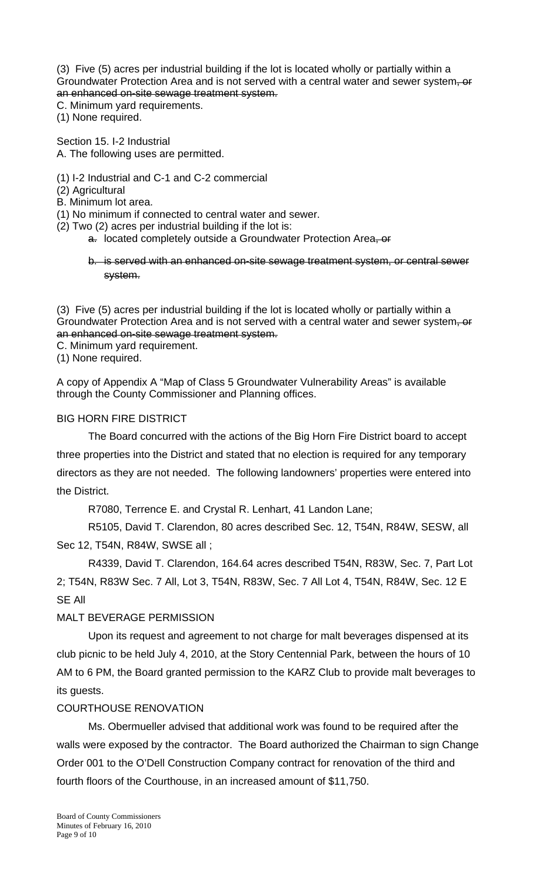(3) Five (5) acres per industrial building if the lot is located wholly or partially within a Groundwater Protection Area and is not served with a central water and sewer system, or an enhanced on-site sewage treatment system.

C. Minimum yard requirements.

(1) None required.

Section 15. I-2 Industrial A. The following uses are permitted.

- (1) I-2 Industrial and C-1 and C-2 commercial
- (2) Agricultural
- B. Minimum lot area.
- (1) No minimum if connected to central water and sewer.
- (2) Two (2) acres per industrial building if the lot is:
	- a. located completely outside a Groundwater Protection Area, or

b. is served with an enhanced on-site sewage treatment system, or central sewer system.

(3) Five (5) acres per industrial building if the lot is located wholly or partially within a Groundwater Protection Area and is not served with a central water and sewer system, or an enhanced on-site sewage treatment system.

- C. Minimum yard requirement.
- (1) None required.

A copy of Appendix A "Map of Class 5 Groundwater Vulnerability Areas" is available through the County Commissioner and Planning offices.

#### BIG HORN FIRE DISTRICT

 The Board concurred with the actions of the Big Horn Fire District board to accept three properties into the District and stated that no election is required for any temporary directors as they are not needed. The following landowners' properties were entered into the District.

R7080, Terrence E. and Crystal R. Lenhart, 41 Landon Lane;

R5105, David T. Clarendon, 80 acres described Sec. 12, T54N, R84W, SESW, all Sec 12, T54N, R84W, SWSE all ;

 R4339, David T. Clarendon, 164.64 acres described T54N, R83W, Sec. 7, Part Lot 2; T54N, R83W Sec. 7 All, Lot 3, T54N, R83W, Sec. 7 All Lot 4, T54N, R84W, Sec. 12 E SE All

# MALT BEVERAGE PERMISSION

 Upon its request and agreement to not charge for malt beverages dispensed at its club picnic to be held July 4, 2010, at the Story Centennial Park, between the hours of 10 AM to 6 PM, the Board granted permission to the KARZ Club to provide malt beverages to its guests.

#### COURTHOUSE RENOVATION

 Ms. Obermueller advised that additional work was found to be required after the walls were exposed by the contractor. The Board authorized the Chairman to sign Change Order 001 to the O'Dell Construction Company contract for renovation of the third and fourth floors of the Courthouse, in an increased amount of \$11,750.